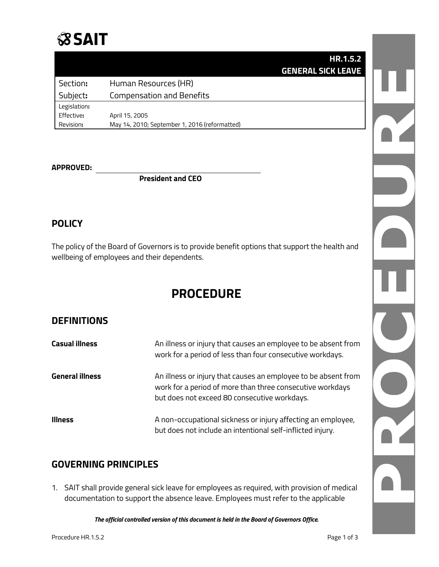# **SSAIT**

|              | HR.1.5.2                                      |  |
|--------------|-----------------------------------------------|--|
|              | <b>GENERAL SICK LEAVE</b>                     |  |
| Section:     | Human Resources (HR)                          |  |
| Subject:     | <b>Compensation and Benefits</b>              |  |
| Legislation: |                                               |  |
| Effective:   | April 15, 2005                                |  |
| Revision:    | May 14, 2010; September 1, 2016 (reformatted) |  |

#### **APPROVED:**

**President and CEO**

## **POLICY**

The policy of the Board of Governors is to provide benefit options that support the health and wellbeing of employees and their dependents.

## **PROCEDURE**

## **DEFINITIONS**

| <b>Casual illness</b> | An illness or injury that causes an employee to be absent from<br>work for a period of less than four consecutive workdays.                                                 |
|-----------------------|-----------------------------------------------------------------------------------------------------------------------------------------------------------------------------|
| General illness       | An illness or injury that causes an employee to be absent from<br>work for a period of more than three consecutive workdays<br>but does not exceed 80 consecutive workdays. |
| <b>Illness</b>        | A non-occupational sickness or injury affecting an employee,<br>but does not include an intentional self-inflicted injury.                                                  |

## **GOVERNING PRINCIPLES**

1. SAIT shall provide general sick leave for employees as required, with provision of medical documentation to support the absence leave. Employees must refer to the applicable

*The official controlled version of this document is held in the Board of Governors Office.*

R

D P C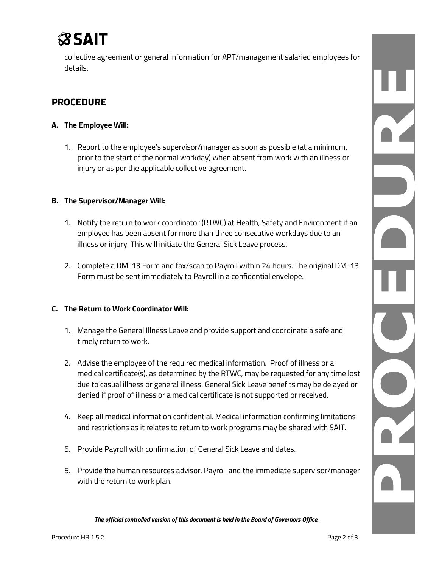

collective agreement or general information for APT/management salaried employees for details.

## **PROCEDURE**

#### **A. The Employee Will:**

1. Report to the employee's supervisor/manager as soon as possible (at a minimum, prior to the start of the normal workday) when absent from work with an illness or injury or as per the applicable collective agreement.

#### **B. The Supervisor/Manager Will:**

- 1. Notify the return to work coordinator (RTWC) at Health, Safety and Environment if an employee has been absent for more than three consecutive workdays due to an illness or injury. This will initiate the General Sick Leave process.
- 2. Complete a DM-13 Form and fax/scan to Payroll within 24 hours. The original DM-13 Form must be sent immediately to Payroll in a confidential envelope.

#### **C. The Return to Work Coordinator Will:**

- 1. Manage the General Illness Leave and provide support and coordinate a safe and timely return to work.
- 2. Advise the employee of the required medical information. Proof of illness or a medical certificate(s), as determined by the RTWC, may be requested for any time lost due to casual illness or general illness. General Sick Leave benefits may be delayed or denied if proof of illness or a medical certificate is not supported or received.
- 4. Keep all medical information confidential. Medical information confirming limitations and restrictions as it relates to return to work programs may be shared with SAIT.
- 5. Provide Payroll with confirmation of General Sick Leave and dates.
- 5. Provide the human resources advisor, Payroll and the immediate supervisor/manager with the return to work plan.

*The official controlled version of this document is held in the Board of Governors Office.*